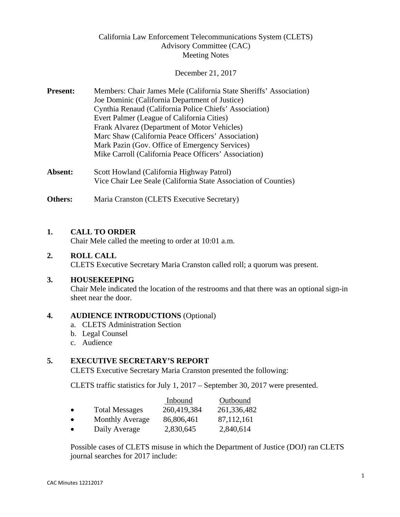# California Law Enforcement Telecommunications System (CLETS) Advisory Committee (CAC) Meeting Notes

#### December 21, 2017

- **Present:** Members: Chair James Mele (California State Sheriffs' Association) Joe Dominic (California Department of Justice) Cynthia Renaud (California Police Chiefs' Association) Evert Palmer (League of California Cities) Frank Alvarez (Department of Motor Vehicles) Marc Shaw (California Peace Officers' Association) Mark Pazin (Gov. Office of Emergency Services) Mike Carroll (California Peace Officers' Association)
- Absent: Scott Howland (California Highway Patrol) Vice Chair Lee Seale (California State Association of Counties)

**Others:** Maria Cranston (CLETS Executive Secretary)

## **1. CALL TO ORDER**

Chair Mele called the meeting to order at 10:01 a.m.

## **2. ROLL CALL**

CLETS Executive Secretary Maria Cranston called roll; a quorum was present.

## **3. HOUSEKEEPING**

Chair Mele indicated the location of the restrooms and that there was an optional sign-in sheet near the door.

# **4. AUDIENCE INTRODUCTIONS** (Optional) a. CLETS Administration Section

- 
- b. Legal Counsel
- c. Audience

## **5. EXECUTIVE SECRETARY'S REPORT**

CLETS Executive Secretary Maria Cranston presented the following:

CLETS traffic statistics for July 1, 2017 – September 30, 2017 were presented.

|           |                        | Inbound     | Outbound     |
|-----------|------------------------|-------------|--------------|
| $\bullet$ | <b>Total Messages</b>  | 260,419,384 | 261,336,482  |
| $\bullet$ | <b>Monthly Average</b> | 86,806,461  | 87, 112, 161 |

• Daily Average 2,830,645 2,840,614

Possible cases of CLETS misuse in which the Department of Justice (DOJ) ran CLETS journal searches for 2017 include: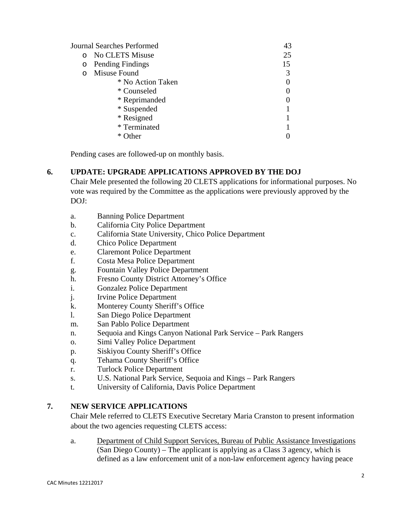|          | Journal Searches Performed | 43 |
|----------|----------------------------|----|
| $\Omega$ | No CLETS Misuse            | 25 |
| O        | Pending Findings           | 15 |
| $\Omega$ | Misuse Found               |    |
|          | * No Action Taken          |    |
|          | * Counseled                |    |
|          | * Reprimanded              |    |
|          | * Suspended                |    |
|          | * Resigned                 |    |
|          | * Terminated               |    |
|          | ∗<br>(Ither                |    |

Pending cases are followed-up on monthly basis.

## **6. UPDATE: UPGRADE APPLICATIONS APPROVED BY THE DOJ**

Chair Mele presented the following 20 CLETS applications for informational purposes. No vote was required by the Committee as the applications were previously approved by the DOJ:

- a. Banning Police Department
- b. California City Police Department
- c. California State University, Chico Police Department
- d. Chico Police Department
- e. Claremont Police Department
- f. Costa Mesa Police Department
- g. Fountain Valley Police Department
- h. Fresno County District Attorney's Office
- i. Gonzalez Police Department
- j. Irvine Police Department
- k. Monterey County Sheriff's Office
- l. San Diego Police Department
- m. San Pablo Police Department
- n. Sequoia and Kings Canyon National Park Service Park Rangers
- o. Simi Valley Police Department
- p. Siskiyou County Sheriff's Office
- q. Tehama County Sheriff's Office
- r. Turlock Police Department
- s. U.S. National Park Service, Sequoia and Kings Park Rangers
- t. University of California, Davis Police Department

## **7. NEW SERVICE APPLICATIONS**

Chair Mele referred to CLETS Executive Secretary Maria Cranston to present information about the two agencies requesting CLETS access:

a. Department of Child Support Services, Bureau of Public Assistance Investigations (San Diego County) – The applicant is applying as a Class 3 agency, which is defined as a law enforcement unit of a non-law enforcement agency having peace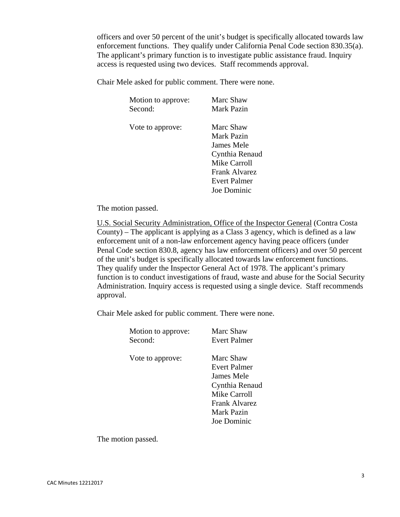officers and over 50 percent of the unit's budget is specifically allocated towards law enforcement functions. They qualify under California Penal Code section 830.35(a). The applicant's primary function is to investigate public assistance fraud. Inquiry access is requested using two devices. Staff recommends approval.

Chair Mele asked for public comment. There were none.

| Motion to approve: | Marc Shaw      |
|--------------------|----------------|
| Second:            | Mark Pazin     |
| Vote to approve:   | Marc Shaw      |
|                    | Mark Pazin     |
|                    | James Mele     |
|                    | Cynthia Renaud |
|                    | Mike Carroll   |
|                    | Frank Alvarez  |
|                    | Evert Palmer   |
|                    | Joe Dominic    |
|                    |                |

The motion passed.

U.S. Social Security Administration, Office of the Inspector General (Contra Costa County) – The applicant is applying as a Class 3 agency, which is defined as a law enforcement unit of a non-law enforcement agency having peace officers (under Penal Code section 830.8, agency has law enforcement officers) and over 50 percent of the unit's budget is specifically allocated towards law enforcement functions. They qualify under the Inspector General Act of 1978. The applicant's primary function is to conduct investigations of fraud, waste and abuse for the Social Security Administration. Inquiry access is requested using a single device. Staff recommends approval.

Chair Mele asked for public comment. There were none.

| Motion to approve: | Marc Shaw           |
|--------------------|---------------------|
| Second:            | Evert Palmer        |
| Vote to approve:   | Marc Shaw           |
|                    | Evert Palmer        |
|                    | James Mele          |
|                    | Cynthia Renaud      |
|                    | <b>Mike Carroll</b> |
|                    | Frank Alvarez       |
|                    | Mark Pazin          |
|                    | Joe Dominic         |
|                    |                     |
|                    |                     |

The motion passed.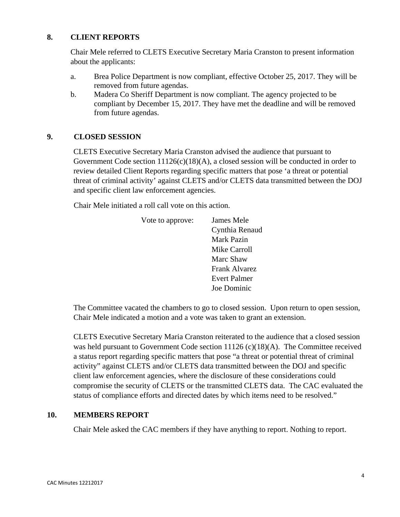## **8. CLIENT REPORTS**

Chair Mele referred to CLETS Executive Secretary Maria Cranston to present information about the applicants:

- a. Brea Police Department is now compliant, effective October 25, 2017. They will be removed from future agendas.
- b. Madera Co Sheriff Department is now compliant. The agency projected to be compliant by December 15, 2017. They have met the deadline and will be removed from future agendas.

## **9. CLOSED SESSION**

CLETS Executive Secretary Maria Cranston advised the audience that pursuant to Government Code section 11126(c)(18)(A), a closed session will be conducted in order to review detailed Client Reports regarding specific matters that pose 'a threat or potential threat of criminal activity' against CLETS and/or CLETS data transmitted between the DOJ and specific client law enforcement agencies.

Chair Mele initiated a roll call vote on this action. Vote to approve: James Mele

| Vote to approve: | James Mele           |
|------------------|----------------------|
|                  | Cynthia Renaud       |
|                  | <b>Mark Pazin</b>    |
|                  | Mike Carroll         |
|                  | Marc Shaw            |
|                  | <b>Frank Alvarez</b> |
|                  | Evert Palmer         |
|                  | Joe Dominic          |

The Committee vacated the chambers to go to closed session. Upon return to open session, Chair Mele indicated a motion and a vote was taken to grant an extension.

CLETS Executive Secretary Maria Cranston reiterated to the audience that a closed session was held pursuant to Government Code section 11126 (c)(18)(A). The Committee received a status report regarding specific matters that pose "a threat or potential threat of criminal activity" against CLETS and/or CLETS data transmitted between the DOJ and specific client law enforcement agencies, where the disclosure of these considerations could compromise the security of CLETS or the transmitted CLETS data. The CAC evaluated the status of compliance efforts and directed dates by which items need to be resolved."

## **10. MEMBERS REPORT**

Chair Mele asked the CAC members if they have anything to report. Nothing to report.